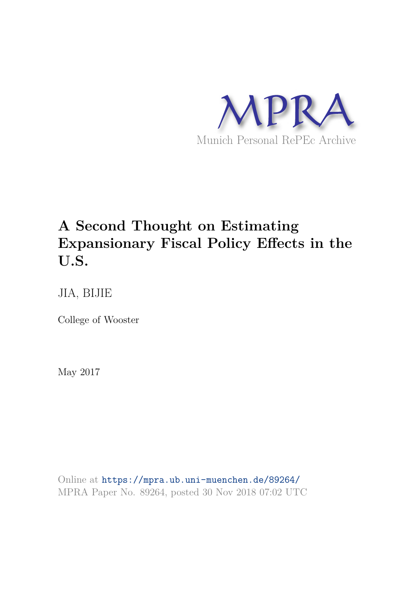

# **A Second Thought on Estimating Expansionary Fiscal Policy Effects in the U.S.**

JIA, BIJIE

College of Wooster

May 2017

Online at https://mpra.ub.uni-muenchen.de/89264/ MPRA Paper No. 89264, posted 30 Nov 2018 07:02 UTC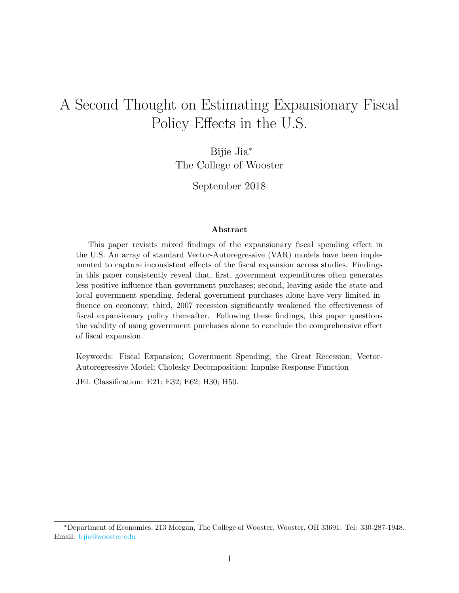# A Second Thought on Estimating Expansionary Fiscal Policy Effects in the U.S.

Bijie Jia<sup>∗</sup> The College of Wooster

September 2018

#### Abstract

This paper revisits mixed findings of the expansionary fiscal spending effect in the U.S. An array of standard Vector-Autoregressive (VAR) models have been implemented to capture inconsistent effects of the fiscal expansion across studies. Findings in this paper consistently reveal that, first, government expenditures often generates less positive influence than government purchases; second, leaving aside the state and local government spending, federal government purchases alone have very limited influence on economy; third, 2007 recession significantly weakened the effectiveness of fiscal expansionary policy thereafter. Following these findings, this paper questions the validity of using government purchases alone to conclude the comprehensive effect of fiscal expansion.

Keywords: Fiscal Expansion; Government Spending; the Great Recession; Vector-Autoregressive Model; Cholesky Decomposition; Impulse Response Function

JEL Classification: E21; E32; E62; H30; H50.

<sup>∗</sup>Department of Economics, 213 Morgan, The College of Wooster, Wooster, OH 33691. Tel: 330-287-1948. Email: bjia@wooster.edu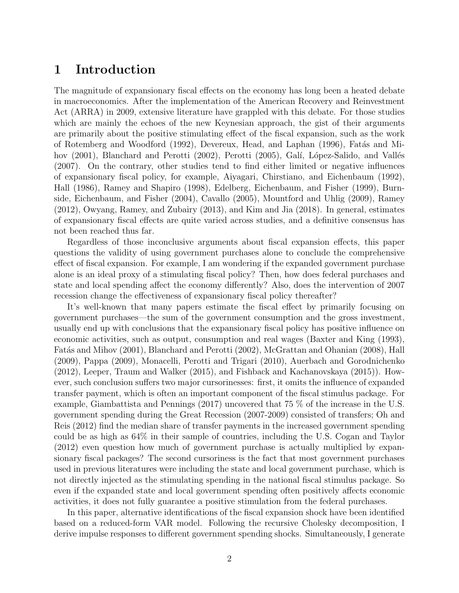# 1 Introduction

The magnitude of expansionary fiscal effects on the economy has long been a heated debate in macroeconomics. After the implementation of the American Recovery and Reinvestment Act (ARRA) in 2009, extensive literature have grappled with this debate. For those studies which are mainly the echoes of the new Keynesian approach, the gist of their arguments are primarily about the positive stimulating effect of the fiscal expansion, such as the work of Rotemberg and Woodford (1992), Devereux, Head, and Laphan (1996), Fatás and Mihov (2001), Blanchard and Perotti (2002), Perotti (2005), Galí, López-Salido, and Vallés (2007). On the contrary, other studies tend to find either limited or negative influences of expansionary fiscal policy, for example, Aiyagari, Chirstiano, and Eichenbaum (1992), Hall (1986), Ramey and Shapiro (1998), Edelberg, Eichenbaum, and Fisher (1999), Burnside, Eichenbaum, and Fisher (2004), Cavallo (2005), Mountford and Uhlig (2009), Ramey (2012), Owyang, Ramey, and Zubairy (2013), and Kim and Jia (2018). In general, estimates of expansionary fiscal effects are quite varied across studies, and a definitive consensus has not been reached thus far.

Regardless of those inconclusive arguments about fiscal expansion effects, this paper questions the validity of using government purchases alone to conclude the comprehensive effect of fiscal expansion. For example, I am wondering if the expanded government purchase alone is an ideal proxy of a stimulating fiscal policy? Then, how does federal purchases and state and local spending affect the economy differently? Also, does the intervention of 2007 recession change the effectiveness of expansionary fiscal policy thereafter?

It's well-known that many papers estimate the fiscal effect by primarily focusing on government purchases—the sum of the government consumption and the gross investment, usually end up with conclusions that the expansionary fiscal policy has positive influence on economic activities, such as output, consumption and real wages (Baxter and King (1993), Fatás and Mihov (2001), Blanchard and Perotti (2002), McGrattan and Ohanian (2008), Hall (2009), Pappa (2009), Monacelli, Perotti and Trigari (2010), Auerbach and Gorodnichenko (2012), Leeper, Traum and Walker (2015), and Fishback and Kachanovskaya (2015)). However, such conclusion suffers two major cursorinesses: first, it omits the influence of expanded transfer payment, which is often an important component of the fiscal stimulus package. For example, Giambattista and Pennings (2017) uncovered that 75 % of the increase in the U.S. government spending during the Great Recession (2007-2009) consisted of transfers; Oh and Reis (2012) find the median share of transfer payments in the increased government spending could be as high as 64% in their sample of countries, including the U.S. Cogan and Taylor (2012) even question how much of government purchase is actually multiplied by expansionary fiscal packages? The second cursoriness is the fact that most government purchases used in previous literatures were including the state and local government purchase, which is not directly injected as the stimulating spending in the national fiscal stimulus package. So even if the expanded state and local government spending often positively affects economic activities, it does not fully guarantee a positive stimulation from the federal purchases.

In this paper, alternative identifications of the fiscal expansion shock have been identified based on a reduced-form VAR model. Following the recursive Cholesky decomposition, I derive impulse responses to different government spending shocks. Simultaneously, I generate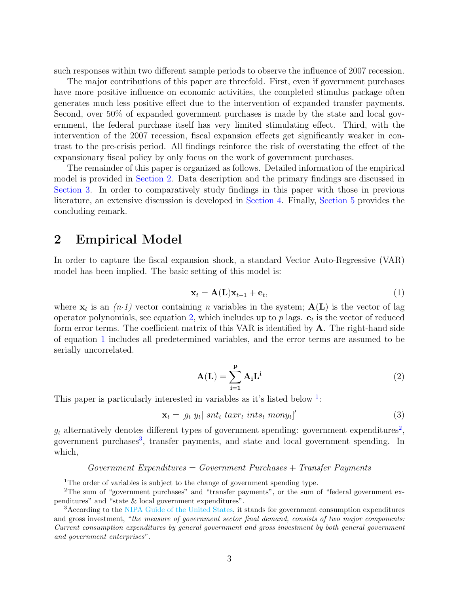such responses within two different sample periods to observe the influence of 2007 recession.

The major contributions of this paper are threefold. First, even if government purchases have more positive influence on economic activities, the completed stimulus package often generates much less positive effect due to the intervention of expanded transfer payments. Second, over 50% of expanded government purchases is made by the state and local government, the federal purchase itself has very limited stimulating effect. Third, with the intervention of the 2007 recession, fiscal expansion effects get significantly weaker in contrast to the pre-crisis period. All findings reinforce the risk of overstating the effect of the expansionary fiscal policy by only focus on the work of government purchases.

The remainder of this paper is organized as follows. Detailed information of the empirical model is provided in Section 2. Data description and the primary findings are discussed in Section 3. In order to comparatively study findings in this paper with those in previous literature, an extensive discussion is developed in Section 4. Finally, Section 5 provides the concluding remark.

# 2 Empirical Model

In order to capture the fiscal expansion shock, a standard Vector Auto-Regressive (VAR) model has been implied. The basic setting of this model is:

$$
\mathbf{x}_t = \mathbf{A}(\mathbf{L})\mathbf{x}_{t-1} + \mathbf{e}_t,\tag{1}
$$

where  $\mathbf{x}_t$  is an  $(n \cdot 1)$  vector containing n variables in the system;  $\mathbf{A}(\mathbf{L})$  is the vector of lag operator polynomials, see equation 2, which includes up to  $p$  lags.  $e_t$  is the vector of reduced form error terms. The coefficient matrix of this VAR is identified by A. The right-hand side of equation 1 includes all predetermined variables, and the error terms are assumed to be serially uncorrelated.

$$
A(L) = \sum_{i=1}^{p} A_i L^i
$$
 (2)

This paper is particularly interested in variables as it's listed below  $1$ :

$$
\mathbf{x}_t = [g_t \ y_t] \ snt_t \ taxrt_t \ ints_t \ mony_t]' \tag{3}
$$

 $g_t$  alternatively denotes different types of government spending: government expenditures<sup>2</sup>, government purchases<sup>3</sup>, transfer payments, and state and local government spending. In which,

#### $Government$  Expenditures = Government Purchases + Transfer Payments

<sup>&</sup>lt;sup>1</sup>The order of variables is subject to the change of government spending type.

<sup>2</sup>The sum of "government purchases" and "transfer payments", or the sum of "federal government expenditures" and "state & local government expenditures".

<sup>&</sup>lt;sup>3</sup>According to the NIPA Guide of the United States, it stands for government consumption expenditures and gross investment, "the measure of government sector final demand, consists of two major components: Current consumption expenditures by general government and gross investment by both general government and government enterprises".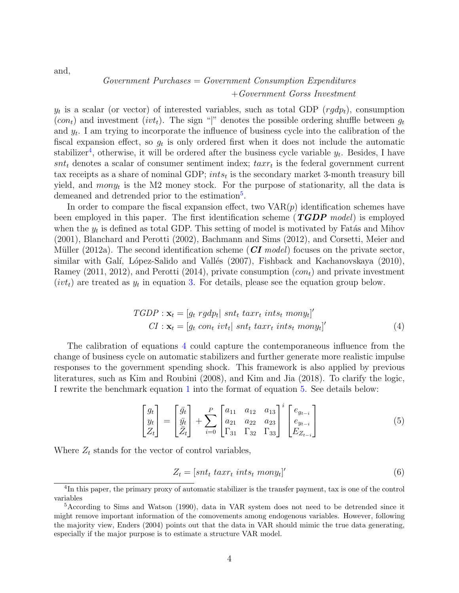and,

## $Government$  Purchases  $= Government$  Consumption Expenditures +Government Gorss Investment

 $y_t$  is a scalar (or vector) of interested variables, such as total GDP  $(rgdp_t)$ , consumption  $(con<sub>t</sub>)$  and investment  $(ivt<sub>t</sub>)$ . The sign "|" denotes the possible ordering shuffle between  $g<sub>t</sub>$ and  $y_t$ . I am trying to incorporate the influence of business cycle into the calibration of the fiscal expansion effect, so  $g_t$  is only ordered first when it does not include the automatic stabilizer<sup>4</sup>, otherwise, it will be ordered after the business cycle variable  $y_t$ . Besides, I have  $snt_t$  denotes a scalar of consumer sentiment index;  $taxr_t$  is the federal government current tax receipts as a share of nominal GDP;  $ints_t$  is the secondary market 3-month treasury bill yield, and  $mony_t$  is the M2 money stock. For the purpose of stationarity, all the data is demeaned and detrended prior to the estimation<sup>5</sup>.

In order to compare the fiscal expansion effect, two  $VAR(p)$  identification schemes have been employed in this paper. The first identification scheme  $(TGDP \ model)$  is employed when the  $y_t$  is defined as total GDP. This setting of model is motivated by Fatás and Mihov (2001), Blanchard and Perotti (2002), Bachmann and Sims (2012), and Corsetti, Meier and Müller (2012a). The second identification scheme ( $CI \ model$ ) focuses on the private sector, similar with Galí, López-Salido and Vallés (2007), Fishback and Kachanovskaya (2010), Ramey (2011, 2012), and Perotti (2014), private consumption  $(con<sub>t</sub>)$  and private investment  $(vvt_t)$  are treated as  $y_t$  in equation 3. For details, please see the equation group below.

$$
TGDP : \mathbf{x}_t = [g_t \text{ } rgh_t] \text{ } snt_t \text{ } taxt_t \text{ } ints_t \text{ } mony_t]'
$$
  
\n
$$
CI : \mathbf{x}_t = [g_t \text{ } con_t \text{ } ivt_t] \text{ } snt_t \text{ } taxt_t \text{ } ints_t \text{ } mony_t]'
$$
\n
$$
(4)
$$

The calibration of equations 4 could capture the contemporaneous influence from the change of business cycle on automatic stabilizers and further generate more realistic impulse responses to the government spending shock. This framework is also applied by previous literatures, such as Kim and Roubini (2008), and Kim and Jia (2018). To clarify the logic, I rewrite the benchmark equation 1 into the format of equation 5. See details below:

$$
\begin{bmatrix} g_t \\ y_t \\ Z_t \end{bmatrix} = \begin{bmatrix} \bar{g}_t \\ \bar{y}_t \\ \bar{Z}_t \end{bmatrix} + \sum_{i=0}^P \begin{bmatrix} a_{11} & a_{12} & a_{13} \\ a_{21} & a_{22} & a_{23} \\ \Gamma_{31} & \Gamma_{32} & \Gamma_{33} \end{bmatrix}^i \begin{bmatrix} e_{g_{t-i}} \\ e_{y_{t-i}} \\ E_{Z_{t-i}} \end{bmatrix}
$$
 (5)

Where  $Z_t$  stands for the vector of control variables,

$$
Z_t = [snt_t \ taxr_t \ ints_t \ mony_t]' \tag{6}
$$

<sup>&</sup>lt;sup>4</sup>In this paper, the primary proxy of automatic stabilizer is the transfer payment, tax is one of the control variables

<sup>&</sup>lt;sup>5</sup>According to Sims and Watson (1990), data in VAR system does not need to be detrended since it might remove important information of the comovements among endogenous variables. However, following the majority view, Enders (2004) points out that the data in VAR should mimic the true data generating, especially if the major purpose is to estimate a structure VAR model.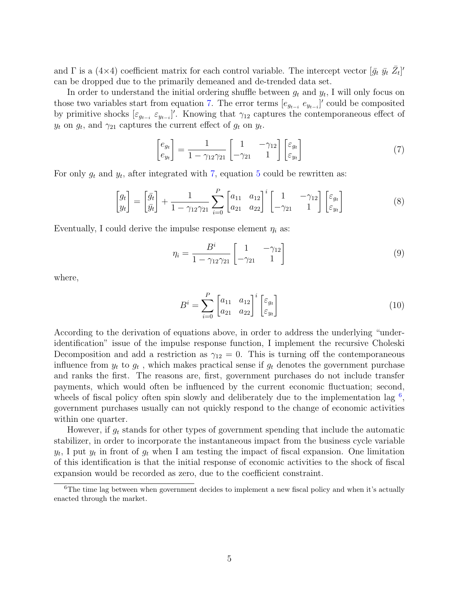and  $\Gamma$  is a (4×4) coefficient matrix for each control variable. The intercept vector  $[\bar{g_t} \ \bar{y_t} \ \bar{Z_t}]'$ can be dropped due to the primarily demeaned and de-trended data set.

In order to understand the initial ordering shuffle between  $g_t$  and  $y_t$ , I will only focus on those two variables start from equation 7. The error terms  $[e_{g_{t-i}} \, e_{y_{t-i}}]'$  could be composited by primitive shocks  $[\varepsilon_{g_{t-i}} \varepsilon_{y_{t-i}}]'$ . Knowing that  $\gamma_{12}$  captures the contemporaneous effect of  $y_t$  on  $g_t$ , and  $\gamma_{21}$  captures the current effect of  $g_t$  on  $y_t$ .

$$
\begin{bmatrix} e_{g_t} \\ e_{y_t} \end{bmatrix} = \frac{1}{1 - \gamma_{12}\gamma_{21}} \begin{bmatrix} 1 & -\gamma_{12} \\ -\gamma_{21} & 1 \end{bmatrix} \begin{bmatrix} \varepsilon_{g_t} \\ \varepsilon_{y_t} \end{bmatrix}
$$
(7)

For only  $g_t$  and  $y_t$ , after integrated with 7, equation 5 could be rewritten as:

$$
\begin{bmatrix} g_t \\ y_t \end{bmatrix} = \begin{bmatrix} \bar{g}_t \\ \bar{y}_t \end{bmatrix} + \frac{1}{1 - \gamma_{12}\gamma_{21}} \sum_{i=0}^P \begin{bmatrix} a_{11} & a_{12} \\ a_{21} & a_{22} \end{bmatrix}^i \begin{bmatrix} 1 & -\gamma_{12} \\ -\gamma_{21} & 1 \end{bmatrix} \begin{bmatrix} \varepsilon_{g_t} \\ \varepsilon_{y_t} \end{bmatrix}
$$
(8)

Eventually, I could derive the impulse response element  $\eta_i$  as:

$$
\eta_i = \frac{B^i}{1 - \gamma_{12}\gamma_{21}} \begin{bmatrix} 1 & -\gamma_{12} \\ -\gamma_{21} & 1 \end{bmatrix} \tag{9}
$$

where,

$$
B^{i} = \sum_{i=0}^{P} \begin{bmatrix} a_{11} & a_{12} \\ a_{21} & a_{22} \end{bmatrix}^{i} \begin{bmatrix} \varepsilon_{g_t} \\ \varepsilon_{y_t} \end{bmatrix}
$$
 (10)

According to the derivation of equations above, in order to address the underlying "underidentification" issue of the impulse response function, I implement the recursive Choleski Decomposition and add a restriction as  $\gamma_{12} = 0$ . This is turning off the contemporaneous influence from  $y_t$  to  $g_t$ , which makes practical sense if  $g_t$  denotes the government purchase and ranks the first. The reasons are, first, government purchases do not include transfer payments, which would often be influenced by the current economic fluctuation; second, wheels of fiscal policy often spin slowly and deliberately due to the implementation lag  $^6$ , government purchases usually can not quickly respond to the change of economic activities within one quarter.

However, if  $g_t$  stands for other types of government spending that include the automatic stabilizer, in order to incorporate the instantaneous impact from the business cycle variable  $y_t$ , I put  $y_t$  in front of  $g_t$  when I am testing the impact of fiscal expansion. One limitation of this identification is that the initial response of economic activities to the shock of fiscal expansion would be recorded as zero, due to the coefficient constraint.

<sup>&</sup>lt;sup>6</sup>The time lag between when government decides to implement a new fiscal policy and when it's actually enacted through the market.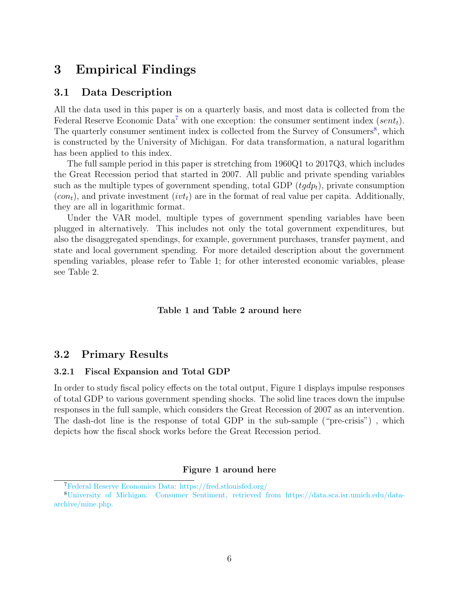# 3 Empirical Findings

### 3.1 Data Description

All the data used in this paper is on a quarterly basis, and most data is collected from the Federal Reserve Economic Data<sup>7</sup> with one exception: the consumer sentiment index (sent<sub>t</sub>). The quarterly consumer sentiment index is collected from the Survey of Consumers<sup>8</sup>, which is constructed by the University of Michigan. For data transformation, a natural logarithm has been applied to this index.

The full sample period in this paper is stretching from 1960Q1 to 2017Q3, which includes the Great Recession period that started in 2007. All public and private spending variables such as the multiple types of government spending, total GDP  $(tqdp_t)$ , private consumption  $(con<sub>t</sub>)$ , and private investment  $(iv<sub>t</sub>)$  are in the format of real value per capita. Additionally, they are all in logarithmic format.

Under the VAR model, multiple types of government spending variables have been plugged in alternatively. This includes not only the total government expenditures, but also the disaggregated spendings, for example, government purchases, transfer payment, and state and local government spending. For more detailed description about the government spending variables, please refer to Table 1; for other interested economic variables, please see Table 2.

#### Table 1 and Table 2 around here

## 3.2 Primary Results

#### 3.2.1 Fiscal Expansion and Total GDP

In order to study fiscal policy effects on the total output, Figure 1 displays impulse responses of total GDP to various government spending shocks. The solid line traces down the impulse responses in the full sample, which considers the Great Recession of 2007 as an intervention. The dash-dot line is the response of total GDP in the sub-sample ("pre-crisis") , which depicts how the fiscal shock works before the Great Recession period.

#### Figure 1 around here

<sup>7</sup>Federal Reserve Economics Data: https://fred.stlouisfed.org/

<sup>8</sup>University of Michigan: Consumer Sentiment, retrieved from https://data.sca.isr.umich.edu/dataarchive/mine.php.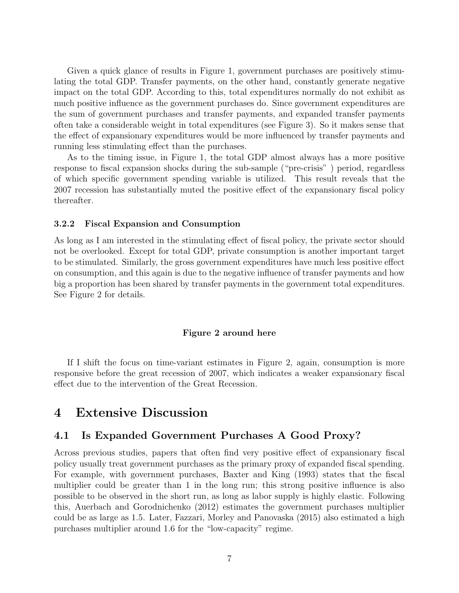Given a quick glance of results in Figure 1, government purchases are positively stimulating the total GDP. Transfer payments, on the other hand, constantly generate negative impact on the total GDP. According to this, total expenditures normally do not exhibit as much positive influence as the government purchases do. Since government expenditures are the sum of government purchases and transfer payments, and expanded transfer payments often take a considerable weight in total expenditures (see Figure 3). So it makes sense that the effect of expansionary expenditures would be more influenced by transfer payments and running less stimulating effect than the purchases.

As to the timing issue, in Figure 1, the total GDP almost always has a more positive response to fiscal expansion shocks during the sub-sample ("pre-crisis" ) period, regardless of which specific government spending variable is utilized. This result reveals that the 2007 recession has substantially muted the positive effect of the expansionary fiscal policy thereafter.

#### 3.2.2 Fiscal Expansion and Consumption

As long as I am interested in the stimulating effect of fiscal policy, the private sector should not be overlooked. Except for total GDP, private consumption is another important target to be stimulated. Similarly, the gross government expenditures have much less positive effect on consumption, and this again is due to the negative influence of transfer payments and how big a proportion has been shared by transfer payments in the government total expenditures. See Figure 2 for details.

#### Figure 2 around here

If I shift the focus on time-variant estimates in Figure 2, again, consumption is more responsive before the great recession of 2007, which indicates a weaker expansionary fiscal effect due to the intervention of the Great Recession.

# 4 Extensive Discussion

## 4.1 Is Expanded Government Purchases A Good Proxy?

Across previous studies, papers that often find very positive effect of expansionary fiscal policy usually treat government purchases as the primary proxy of expanded fiscal spending. For example, with government purchases, Baxter and King (1993) states that the fiscal multiplier could be greater than 1 in the long run; this strong positive influence is also possible to be observed in the short run, as long as labor supply is highly elastic. Following this, Auerbach and Gorodnichenko (2012) estimates the government purchases multiplier could be as large as 1.5. Later, Fazzari, Morley and Panovaska (2015) also estimated a high purchases multiplier around 1.6 for the "low-capacity" regime.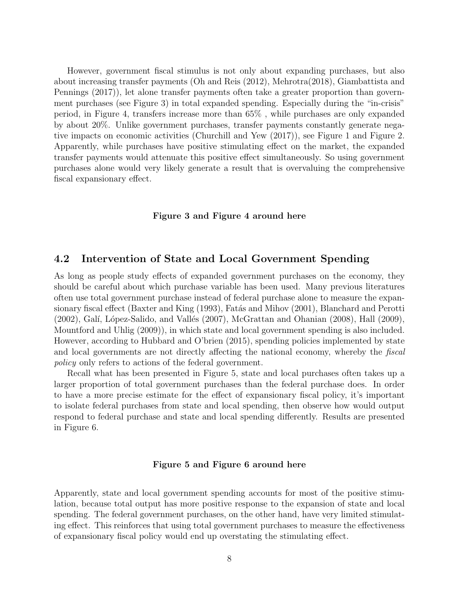However, government fiscal stimulus is not only about expanding purchases, but also about increasing transfer payments (Oh and Reis (2012), Mehrotra(2018), Giambattista and Pennings (2017)), let alone transfer payments often take a greater proportion than government purchases (see Figure 3) in total expanded spending. Especially during the "in-crisis" period, in Figure 4, transfers increase more than 65% , while purchases are only expanded by about 20%. Unlike government purchases, transfer payments constantly generate negative impacts on economic activities (Churchill and Yew (2017)), see Figure 1 and Figure 2. Apparently, while purchases have positive stimulating effect on the market, the expanded transfer payments would attenuate this positive effect simultaneously. So using government purchases alone would very likely generate a result that is overvaluing the comprehensive fiscal expansionary effect.

#### Figure 3 and Figure 4 around here

### 4.2 Intervention of State and Local Government Spending

As long as people study effects of expanded government purchases on the economy, they should be careful about which purchase variable has been used. Many previous literatures often use total government purchase instead of federal purchase alone to measure the expansionary fiscal effect (Baxter and King (1993), Fatás and Mihov (2001), Blanchard and Perotti  $(2002)$ , Galí, López-Salido, and Vallés  $(2007)$ , McGrattan and Ohanian  $(2008)$ , Hall  $(2009)$ , Mountford and Uhlig (2009)), in which state and local government spending is also included. However, according to Hubbard and O'brien (2015), spending policies implemented by state and local governments are not directly affecting the national economy, whereby the fiscal policy only refers to actions of the federal government.

Recall what has been presented in Figure 5, state and local purchases often takes up a larger proportion of total government purchases than the federal purchase does. In order to have a more precise estimate for the effect of expansionary fiscal policy, it's important to isolate federal purchases from state and local spending, then observe how would output respond to federal purchase and state and local spending differently. Results are presented in Figure 6.

#### Figure 5 and Figure 6 around here

Apparently, state and local government spending accounts for most of the positive stimulation, because total output has more positive response to the expansion of state and local spending. The federal government purchases, on the other hand, have very limited stimulating effect. This reinforces that using total government purchases to measure the effectiveness of expansionary fiscal policy would end up overstating the stimulating effect.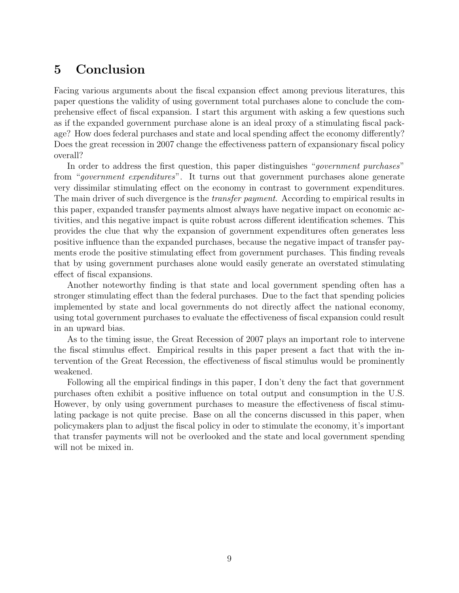# 5 Conclusion

Facing various arguments about the fiscal expansion effect among previous literatures, this paper questions the validity of using government total purchases alone to conclude the comprehensive effect of fiscal expansion. I start this argument with asking a few questions such as if the expanded government purchase alone is an ideal proxy of a stimulating fiscal package? How does federal purchases and state and local spending affect the economy differently? Does the great recession in 2007 change the effectiveness pattern of expansionary fiscal policy overall?

In order to address the first question, this paper distinguishes "*government purchases*" from "government expenditures". It turns out that government purchases alone generate very dissimilar stimulating effect on the economy in contrast to government expenditures. The main driver of such divergence is the *transfer payment*. According to empirical results in this paper, expanded transfer payments almost always have negative impact on economic activities, and this negative impact is quite robust across different identification schemes. This provides the clue that why the expansion of government expenditures often generates less positive influence than the expanded purchases, because the negative impact of transfer payments erode the positive stimulating effect from government purchases. This finding reveals that by using government purchases alone would easily generate an overstated stimulating effect of fiscal expansions.

Another noteworthy finding is that state and local government spending often has a stronger stimulating effect than the federal purchases. Due to the fact that spending policies implemented by state and local governments do not directly affect the national economy, using total government purchases to evaluate the effectiveness of fiscal expansion could result in an upward bias.

As to the timing issue, the Great Recession of 2007 plays an important role to intervene the fiscal stimulus effect. Empirical results in this paper present a fact that with the intervention of the Great Recession, the effectiveness of fiscal stimulus would be prominently weakened.

Following all the empirical findings in this paper, I don't deny the fact that government purchases often exhibit a positive influence on total output and consumption in the U.S. However, by only using government purchases to measure the effectiveness of fiscal stimulating package is not quite precise. Base on all the concerns discussed in this paper, when policymakers plan to adjust the fiscal policy in oder to stimulate the economy, it's important that transfer payments will not be overlooked and the state and local government spending will not be mixed in.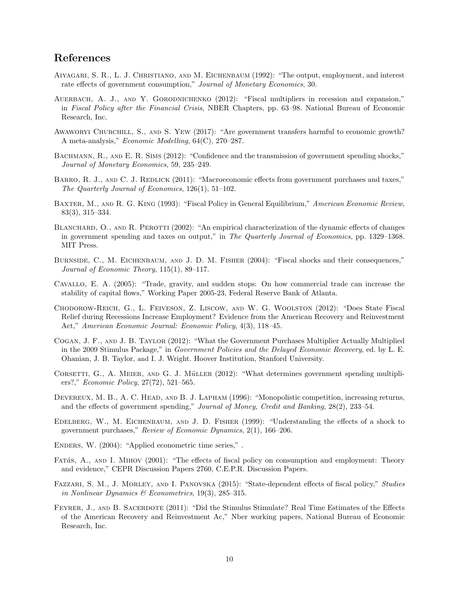## References

- Aiyagari, S. R., L. J. Christiano, and M. Eichenbaum (1992): "The output, employment, and interest rate effects of government consumption," Journal of Monetary Economics, 30.
- AUERBACH, A. J., AND Y. GORODNICHENKO (2012): "Fiscal multipliers in recession and expansion," in Fiscal Policy after the Financial Crisis, NBER Chapters, pp. 63–98. National Bureau of Economic Research, Inc.
- Awaworyi Churchill, S., and S. Yew (2017): "Are government transfers harmful to economic growth? A meta-analysis," Economic Modelling, 64(C), 270–287.
- BACHMANN, R., AND E. R. SIMS (2012): "Confidence and the transmission of government spending shocks," Journal of Monetary Economics, 59, 235–249.
- BARRO, R. J., AND C. J. REDLICK (2011): "Macroeconomic effects from government purchases and taxes," The Quarterly Journal of Economics, 126(1), 51–102.
- BAXTER, M., AND R. G. KING (1993): "Fiscal Policy in General Equilibrium," American Economic Review, 83(3), 315–334.
- BLANCHARD, O., AND R. PEROTTI (2002): "An empirical characterization of the dynamic effects of changes in government spending and taxes on output," in The Quarterly Journal of Economics, pp. 1329–1368. MIT Press.
- BURNSIDE, C., M. EICHENBAUM, AND J. D. M. FISHER (2004): "Fiscal shocks and their consequences," Journal of Economic Theory, 115(1), 89–117.
- Cavallo, E. A. (2005): "Trade, gravity, and sudden stops: On how commercial trade can increase the stability of capital flows," Working Paper 2005-23, Federal Reserve Bank of Atlanta.
- Chodorow-Reich, G., L. Feiveson, Z. Liscow, and W. G. Woolston (2012): "Does State Fiscal Relief during Recessions Increase Employment? Evidence from the American Recovery and Reinvestment Act," American Economic Journal: Economic Policy, 4(3), 118–45.
- Cogan, J. F., and J. B. Taylor (2012): "What the Government Purchases Multiplier Actually Multiplied in the 2009 Stimulus Package," in Government Policies and the Delayed Economic Recovery, ed. by L. E. Ohanian, J. B. Taylor, and I. J. Wright. Hoover Institution, Stanford University.
- CORSETTI, G., A. MEIER, AND G. J. MüLLER (2012): "What determines government spending multipliers?," Economic Policy, 27(72), 521–565.
- DEVEREUX, M. B., A. C. HEAD, AND B. J. LAPHAM (1996): "Monopolistic competition, increasing returns, and the effects of government spending," Journal of Money, Credit and Banking, 28(2), 233–54.
- Edelberg, W., M. Eichenbaum, and J. D. Fisher (1999): "Understanding the effects of a shock to government purchases," Review of Economic Dynamics, 2(1), 166–206.
- ENDERS, W. (2004): "Applied econometric time series,".
- FATA's, A., AND I. MIHOV (2001): "The effects of fiscal policy on consumption and employment: Theory and evidence," CEPR Discussion Papers 2760, C.E.P.R. Discussion Papers.
- Fazzari, S. M., J. Morley, and I. Panovska (2015): "State-dependent effects of fiscal policy," Studies in Nonlinear Dynamics & Econometrics, 19(3), 285-315.
- FEYRER, J., AND B. SACERDOTE (2011): "Did the Stimulus Stimulate? Real Time Estimates of the Effects of the American Recovery and Reinvestment Ac," Nber working papers, National Bureau of Economic Research, Inc.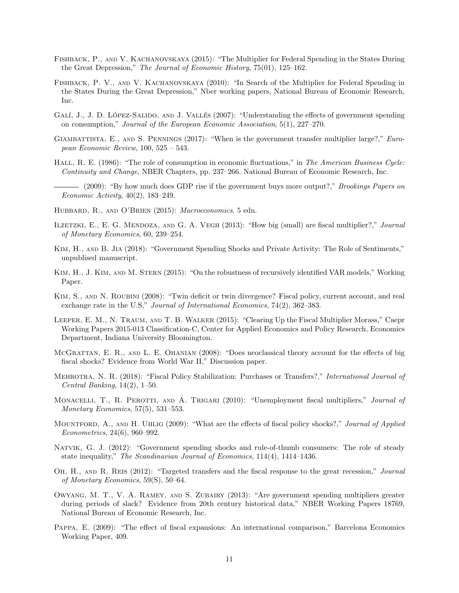- Fishback, P., and V. Kachanovskaya (2015): "The Multiplier for Federal Spending in the States During the Great Depression," The Journal of Economic History, 75(01), 125–162.
- Fishback, P. V., and V. Kachanovskaya (2010): "In Search of the Multiplier for Federal Spending in the States During the Great Depression," Nber working papers, National Bureau of Economic Research, Inc.
- GALÍ, J., J. D. LÓPEZ-SALIDO, AND J. VALLÉS (2007): "Understanding the effects of government spending on consumption," Journal of the European Economic Association, 5(1), 227–270.
- GIAMBATTISTA, E., AND S. PENNINGS (2017): "When is the government transfer multiplier large?," European Economic Review, 100, 525 – 543.
- HALL, R. E. (1986): "The role of consumption in economic fluctuations," in The American Business Cycle: Continuity and Change, NBER Chapters, pp. 237–266. National Bureau of Economic Research, Inc.
- (2009): "By how much does GDP rise if the government buys more output?," Brookings Papers on Economic Activity, 40(2), 183–249.
- HUBBARD, R., AND O'BRIEN (2015): Macroeconomics. 5 edn.
- ILZETZKI, E., E. G. MENDOZA, AND G. A. VEGH (2013): "How big (small) are fiscal multiplier?," Journal of Monetary Economics, 60, 239–254.
- Kim, H., and B. Jia (2018): "Government Spending Shocks and Private Activity: The Role of Sentiments," unpublised manuscript.
- Kim, H., J. Kim, and M. Stern (2015): "On the robustness of recursively identified VAR models," Working Paper.
- KIM, S., AND N. ROUBINI (2008): "Twin deficit or twin divergence? Fiscal policy, current account, and real exchange rate in the U.S," Journal of International Economics, 74(2), 362-383.
- Leeper, E. M., N. Traum, and T. B. Walker (2015): "Clearing Up the Fiscal Multiplier Morass," Caepr Working Papers 2015-013 Classification-C, Center for Applied Economics and Policy Research, Economics Department, Indiana University Bloomington.
- McGrattan, E. R., and L. E. Ohanian (2008): "Does neoclassical theory account for the effects of big fiscal shocks? Evidence from World War II," Discussion paper.
- Mehrotra, N. R. (2018): "Fiscal Policy Stabilization: Purchases or Transfers?," International Journal of Central Banking, 14(2), 1–50.
- MONACELLI, T., R. PEROTTI, AND A. TRIGARI (2010): "Unemployment fiscal multipliers," Journal of Monetary Economics, 57(5), 531–553.
- MOUNTFORD, A., AND H. UHLIG (2009): "What are the effects of fiscal policy shocks?," Journal of Applied Econometrics, 24(6), 960–992.
- Natvik, G. J. (2012): "Government spending shocks and rule-of-thumb consumers: The role of steady state inequality," The Scandinavian Journal of Economics, 114(4), 1414–1436.
- OH, H., AND R. REIS (2012): "Targeted transfers and the fiscal response to the great recession," Journal of Monetary Economics, 59(S), 50–64.
- Owyang, M. T., V. A. Ramey, and S. Zubairy (2013): "Are government spending multipliers greater during periods of slack? Evidence from 20th century historical data," NBER Working Papers 18769, National Bureau of Economic Research, Inc.
- Pappa, E. (2009): "The effect of fiscal expansions: An international comparison," Barcelona Economics Working Paper, 409.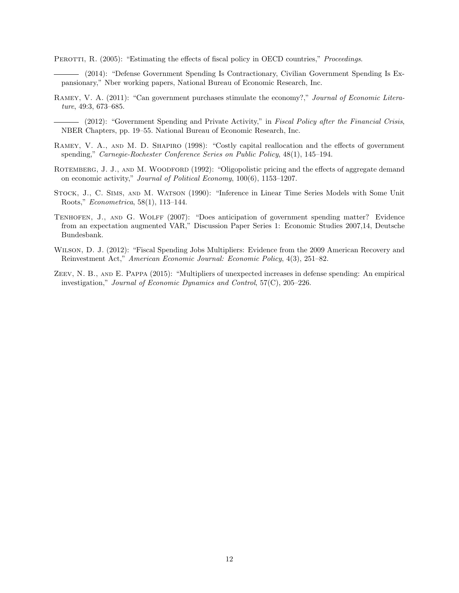PEROTTI, R. (2005): "Estimating the effects of fiscal policy in OECD countries," *Proceedings.* 

(2014): "Defense Government Spending Is Contractionary, Civilian Government Spending Is Expansionary," Nber working papers, National Bureau of Economic Research, Inc.

- Ramey, V. A. (2011): "Can government purchases stimulate the economy?," Journal of Economic Literature, 49:3, 673–685.
	- (2012): "Government Spending and Private Activity," in Fiscal Policy after the Financial Crisis, NBER Chapters, pp. 19–55. National Bureau of Economic Research, Inc.
- RAMEY, V. A., AND M. D. SHAPIRO (1998): "Costly capital reallocation and the effects of government spending," Carnegie-Rochester Conference Series on Public Policy, 48(1), 145–194.
- ROTEMBERG, J. J., AND M. WOODFORD (1992): "Oligopolistic pricing and the effects of aggregate demand on economic activity," Journal of Political Economy, 100(6), 1153–1207.
- Stock, J., C. Sims, and M. Watson (1990): "Inference in Linear Time Series Models with Some Unit Roots," Econometrica, 58(1), 113–144.
- Tenhofen, J., and G. Wolff (2007): "Does anticipation of government spending matter? Evidence from an expectation augmented VAR," Discussion Paper Series 1: Economic Studies 2007,14, Deutsche Bundesbank.
- Wilson, D. J. (2012): "Fiscal Spending Jobs Multipliers: Evidence from the 2009 American Recovery and Reinvestment Act," American Economic Journal: Economic Policy, 4(3), 251–82.
- Zeev, N. B., and E. Pappa (2015): "Multipliers of unexpected increases in defense spending: An empirical investigation," Journal of Economic Dynamics and Control, 57(C), 205–226.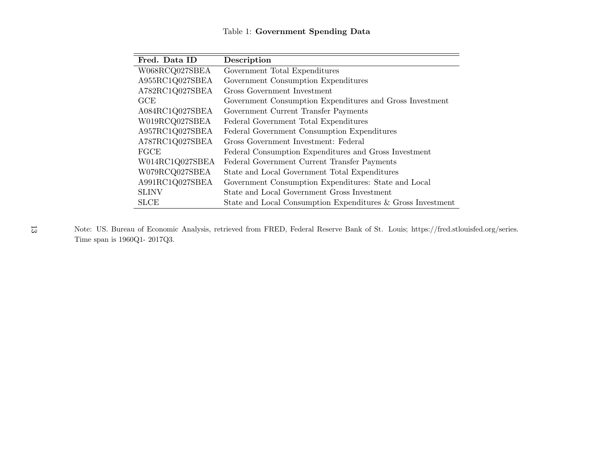## Table 1: Government Spending Data

| Fred. Data ID   | Description                                                 |
|-----------------|-------------------------------------------------------------|
| W068RCQ027SBEA  | Government Total Expenditures                               |
| A955RC1Q027SBEA | Government Consumption Expenditures                         |
| A782RC1Q027SBEA | Gross Government Investment                                 |
| GCE             | Government Consumption Expenditures and Gross Investment    |
| A084RC1Q027SBEA | Government Current Transfer Payments                        |
| W019RCQ027SBEA  | Federal Government Total Expenditures                       |
| A957RC1Q027SBEA | Federal Government Consumption Expenditures                 |
| A787RC1Q027SBEA | Gross Government Investment: Federal                        |
| FGCE            | Federal Consumption Expenditures and Gross Investment       |
| W014RC1Q027SBEA | Federal Government Current Transfer Payments                |
| W079RCQ027SBEA  | State and Local Government Total Expenditures               |
| A991RC1Q027SBEA | Government Consumption Expenditures: State and Local        |
| <b>SLINV</b>    | State and Local Government Gross Investment                 |
| <b>SLCE</b>     | State and Local Consumption Expenditures & Gross Investment |

Note: US. Bureau of Economic Analysis, retrieved from FRED, Federal Reserve Bank of St. Louis; https://fred.stlouisfed.org/series. Time span is 1960Q1- 2017Q3.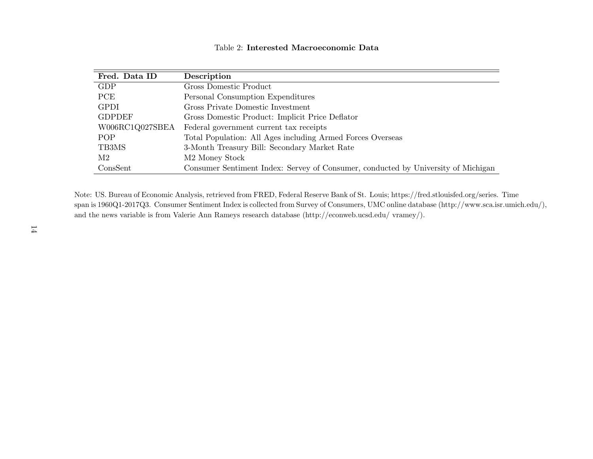| Fred. Data ID   | Description                                                                       |
|-----------------|-----------------------------------------------------------------------------------|
| <b>GDP</b>      | Gross Domestic Product                                                            |
| <b>PCE</b>      | Personal Consumption Expenditures                                                 |
| <b>GPDI</b>     | Gross Private Domestic Investment                                                 |
| <b>GDPDEF</b>   | Gross Domestic Product: Implicit Price Deflator                                   |
| W006RC1Q027SBEA | Federal government current tax receipts                                           |
| POP             | Total Population: All Ages including Armed Forces Overseas                        |
| TB3MS           | 3-Month Treasury Bill: Secondary Market Rate                                      |
| M2              | M <sub>2</sub> Money Stock                                                        |
| ConsSent        | Consumer Sentiment Index: Servey of Consumer, conducted by University of Michigan |

Note: US. Bureau of Economic Analysis, retrieved from FRED, Federal Reserve Bank of St. Louis; https://fred.stlouisfed.org/series. Time span is 1960Q1-2017Q3. Consumer Sentiment Index is collected from Survey of Consumers, UMC online database (http://www.sca.isr.umich.edu/), and the news variable is from Valerie Ann Rameys research database (http://econweb.ucsd.edu/ vramey/).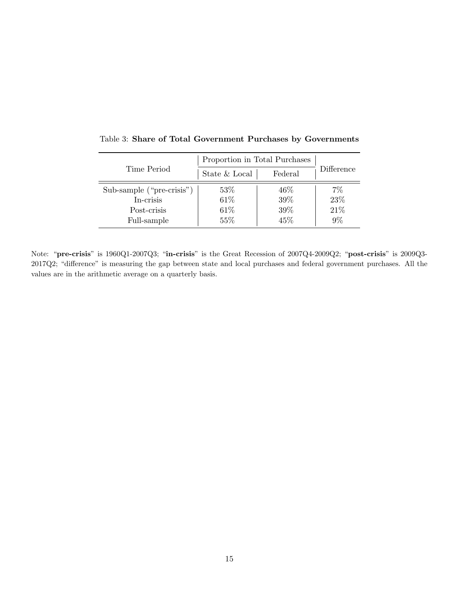|                           | Proportion in Total Purchases |         |            |
|---------------------------|-------------------------------|---------|------------|
| Time Period               | State & Local                 | Federal | Difference |
| Sub-sample ("pre-crisis") | 53%                           | 46%     | $7\%$      |
| In-crisis                 | 61\%                          | 39\%    | 23%        |
| Post-crisis               | 61\%                          | 39%     | 21\%       |
| Full-sample               | 55%                           | 45%     | $9\%$      |

Table 3: Share of Total Government Purchases by Governments

Note: "pre-crisis" is 1960Q1-2007Q3; "in-crisis" is the Great Recession of 2007Q4-2009Q2; "post-crisis" is 2009Q3- 2017Q2; "difference" is measuring the gap between state and local purchases and federal government purchases. All the values are in the arithmetic average on a quarterly basis.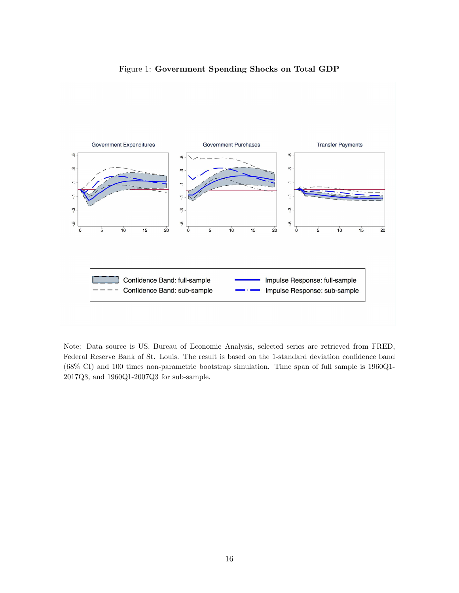#### Figure 1: Government Spending Shocks on Total GDP



Note: Data source is US. Bureau of Economic Analysis, selected series are retrieved from FRED, Federal Reserve Bank of St. Louis. The result is based on the 1-standard deviation confidence band (68% CI) and 100 times non-parametric bootstrap simulation. Time span of full sample is 1960Q1- 2017Q3, and 1960Q1-2007Q3 for sub-sample.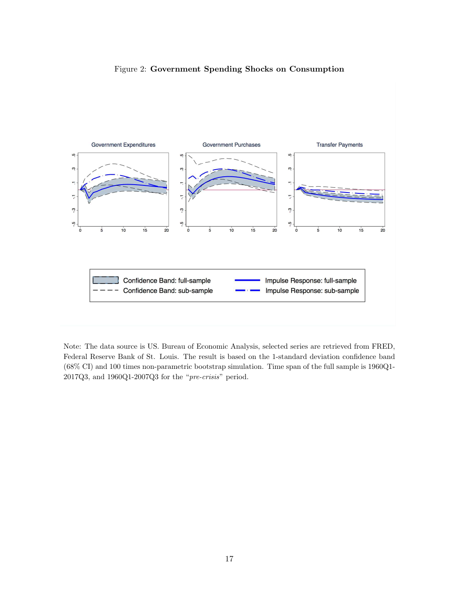#### Figure 2: Government Spending Shocks on Consumption



Note: The data source is US. Bureau of Economic Analysis, selected series are retrieved from FRED, Federal Reserve Bank of St. Louis. The result is based on the 1-standard deviation confidence band (68% CI) and 100 times non-parametric bootstrap simulation. Time span of the full sample is 1960Q1- 2017Q3, and 1960Q1-2007Q3 for the "pre-crisis" period.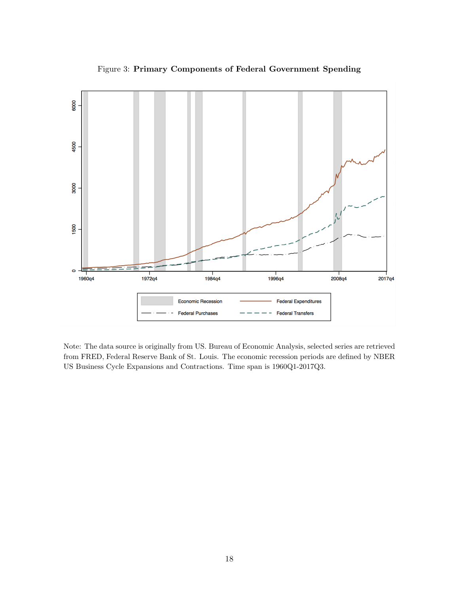

Figure 3: Primary Components of Federal Government Spending

Note: The data source is originally from US. Bureau of Economic Analysis, selected series are retrieved from FRED, Federal Reserve Bank of St. Louis. The economic recession periods are defined by NBER US Business Cycle Expansions and Contractions. Time span is 1960Q1-2017Q3.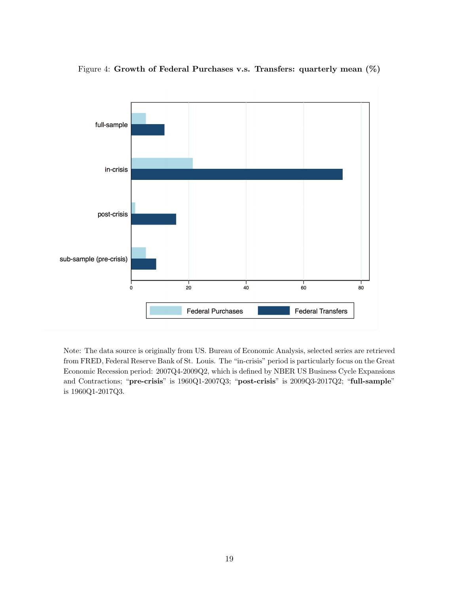

Figure 4: Growth of Federal Purchases v.s. Transfers: quarterly mean (%)

Note: The data source is originally from US. Bureau of Economic Analysis, selected series are retrieved from FRED, Federal Reserve Bank of St. Louis. The "in-crisis" period is particularly focus on the Great Economic Recession period: 2007Q4-2009Q2, which is defined by NBER US Business Cycle Expansions and Contractions; "pre-crisis" is 1960Q1-2007Q3; "post-crisis" is 2009Q3-2017Q2; "full-sample" is 1960Q1-2017Q3.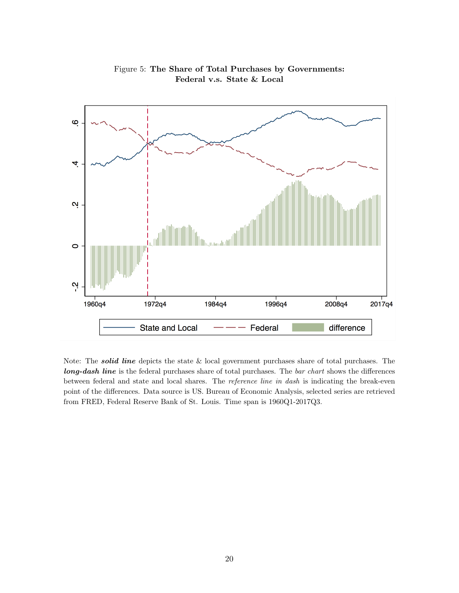

Figure 5: The Share of Total Purchases by Governments: Federal v.s. State & Local

Note: The *solid line* depicts the state  $&$  local government purchases share of total purchases. The long-dash line is the federal purchases share of total purchases. The bar chart shows the differences between federal and state and local shares. The *reference line in dash* is indicating the break-even point of the differences. Data source is US. Bureau of Economic Analysis, selected series are retrieved from FRED, Federal Reserve Bank of St. Louis. Time span is 1960Q1-2017Q3.